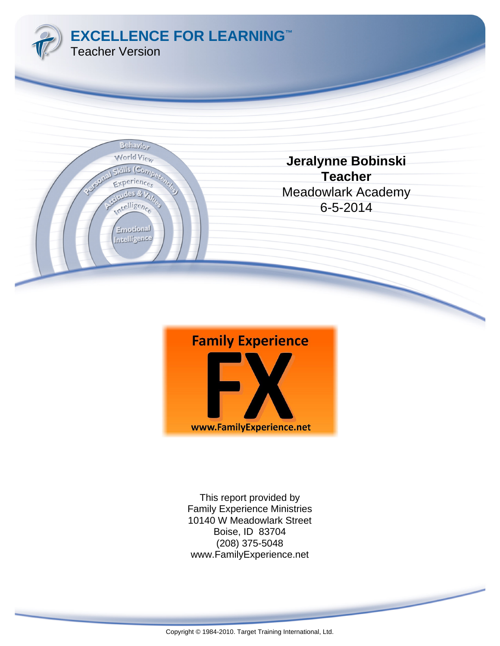



www.FamilyExperience.net (208) 375-5048 Boise, ID 83704 10140 W Meadowlark Street Family Experience Ministries This report provided by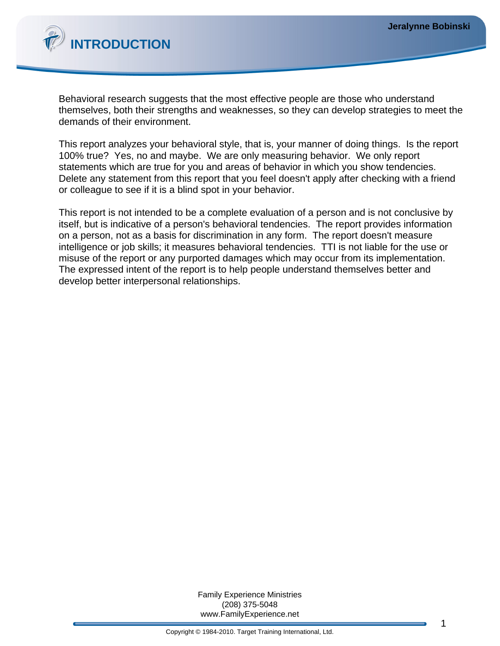

Behavioral research suggests that the most effective people are those who understand themselves, both their strengths and weaknesses, so they can develop strategies to meet the demands of their environment.

This report analyzes your behavioral style, that is, your manner of doing things. Is the report 100% true? Yes, no and maybe. We are only measuring behavior. We only report statements which are true for you and areas of behavior in which you show tendencies. Delete any statement from this report that you feel doesn't apply after checking with a friend or colleague to see if it is a blind spot in your behavior.

This report is not intended to be a complete evaluation of a person and is not conclusive by itself, but is indicative of a person's behavioral tendencies. The report provides information on a person, not as a basis for discrimination in any form. The report doesn't measure intelligence or job skills; it measures behavioral tendencies. TTI is not liable for the use or misuse of the report or any purported damages which may occur from its implementation. The expressed intent of the report is to help people understand themselves better and develop better interpersonal relationships.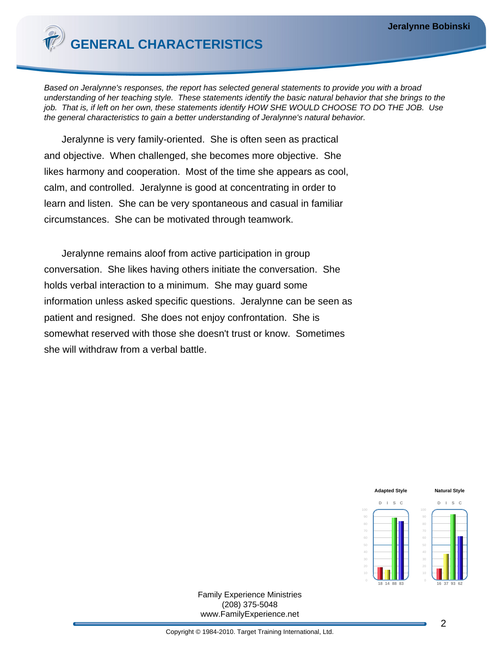

Based on Jeralynne's responses, the report has selected general statements to provide you with a broad understanding of her teaching style. These statements identify the basic natural behavior that she brings to the job. That is, if left on her own, these statements identify HOW SHE WOULD CHOOSE TO DO THE JOB. Use the general characteristics to gain a better understanding of Jeralynne's natural behavior.

Jeralynne is very family-oriented. She is often seen as practical and objective. When challenged, she becomes more objective. She likes harmony and cooperation. Most of the time she appears as cool, calm, and controlled. Jeralynne is good at concentrating in order to learn and listen. She can be very spontaneous and casual in familiar circumstances. She can be motivated through teamwork.

Jeralynne remains aloof from active participation in group conversation. She likes having others initiate the conversation. She holds verbal interaction to a minimum. She may guard some information unless asked specific questions. Jeralynne can be seen as patient and resigned. She does not enjoy confrontation. She is somewhat reserved with those she doesn't trust or know. Sometimes she will withdraw from a verbal battle.

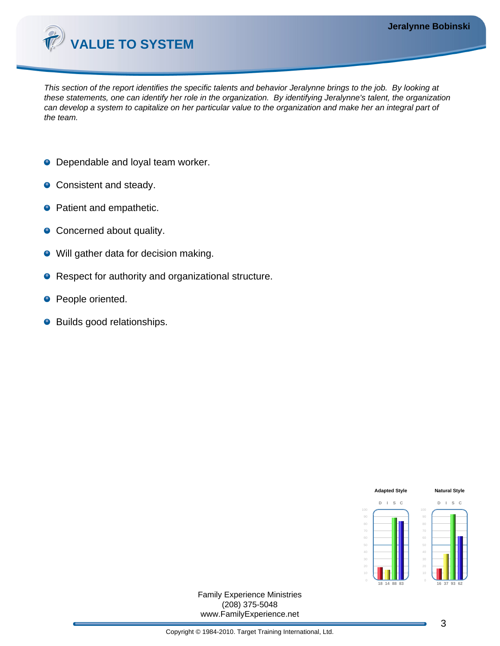

This section of the report identifies the specific talents and behavior Jeralynne brings to the job. By looking at these statements, one can identify her role in the organization. By identifying Jeralynne's talent, the organization can develop a system to capitalize on her particular value to the organization and make her an integral part of the team.

- **O** Dependable and loyal team worker.
- Consistent and steady.
- **•** Patient and empathetic.
- Concerned about quality.
- Will gather data for decision making.  $\bullet$
- Respect for authority and organizational structure.  $\bullet$
- People oriented.  $\bullet$
- Builds good relationships.

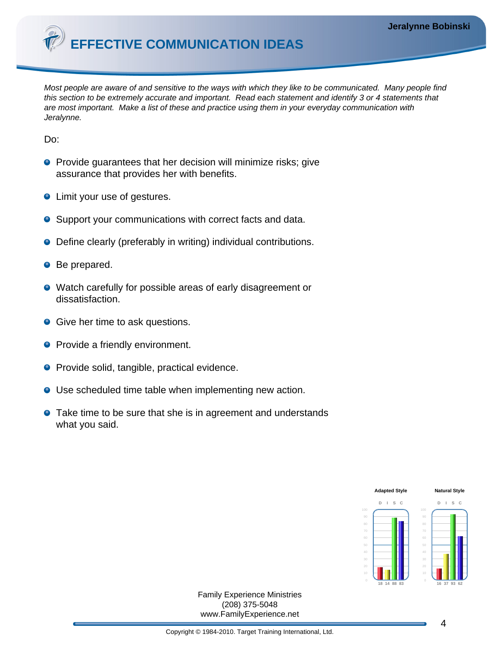**EFFECTIVE COMMUNICATION IDEAS**

Most people are aware of and sensitive to the ways with which they like to be communicated. Many people find this section to be extremely accurate and important. Read each statement and identify 3 or 4 statements that are most important. Make a list of these and practice using them in your everyday communication with Jeralynne.

Do:

- **Provide guarantees that her decision will minimize risks; give** assurance that provides her with benefits.
- **•** Limit your use of gestures.
- Support your communications with correct facts and data.
- Define clearly (preferably in writing) individual contributions.
- Be prepared.
- Watch carefully for possible areas of early disagreement or dissatisfaction.
- **Give her time to ask questions.**
- **Provide a friendly environment.**
- **•** Provide solid, tangible, practical evidence.
- Use scheduled time table when implementing new action.
- **•** Take time to be sure that she is in agreement and understands what you said.

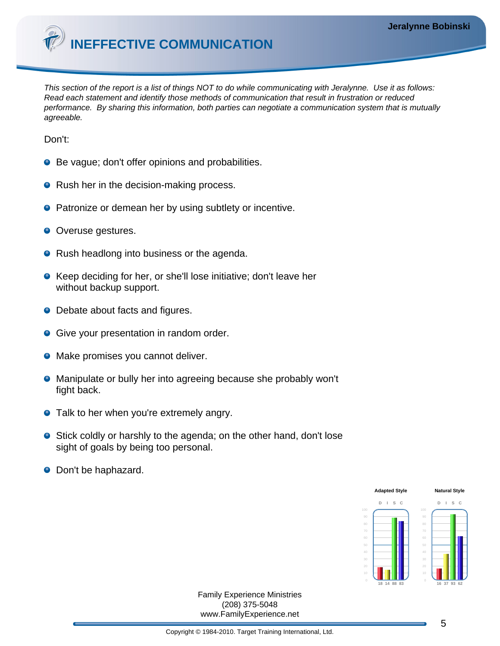

This section of the report is a list of things NOT to do while communicating with Jeralynne. Use it as follows: Read each statement and identify those methods of communication that result in frustration or reduced performance. By sharing this information, both parties can negotiate a communication system that is mutually agreeable.

Don't:

- Be vague; don't offer opinions and probabilities.
- Rush her in the decision-making process.
- **•** Patronize or demean her by using subtlety or incentive.
- Overuse gestures.
- Rush headlong into business or the agenda.
- Keep deciding for her, or she'll lose initiative; don't leave her without backup support.
- Debate about facts and figures.
- **Give your presentation in random order.**
- Make promises you cannot deliver.
- Manipulate or bully her into agreeing because she probably won't fight back.
- **•** Talk to her when you're extremely angry.
- **Stick coldly or harshly to the agenda; on the other hand, don't lose** sight of goals by being too personal.
- Don't be haphazard.

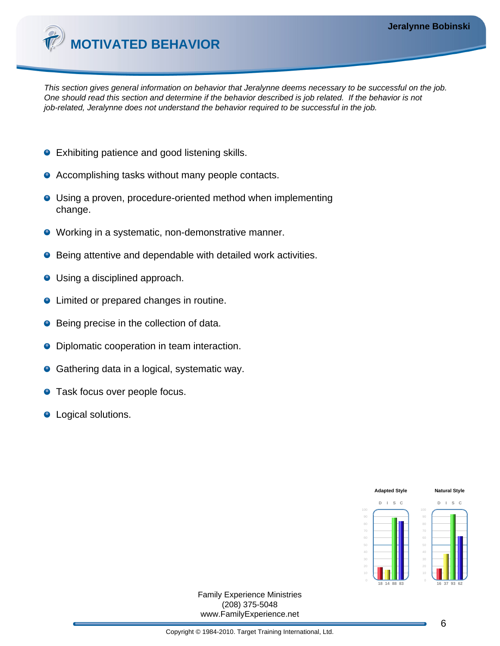

This section gives general information on behavior that Jeralynne deems necessary to be successful on the job. One should read this section and determine if the behavior described is job related. If the behavior is not job-related, Jeralynne does not understand the behavior required to be successful in the job.

- Exhibiting patience and good listening skills.
- **•** Accomplishing tasks without many people contacts.
- Using a proven, procedure-oriented method when implementing change.
- Working in a systematic, non-demonstrative manner.
- Being attentive and dependable with detailed work activities.
- Using a disciplined approach.
- **•** Limited or prepared changes in routine.
- Being precise in the collection of data.
- Diplomatic cooperation in team interaction.
- Gathering data in a logical, systematic way.
- **•** Task focus over people focus.
- Logical solutions.

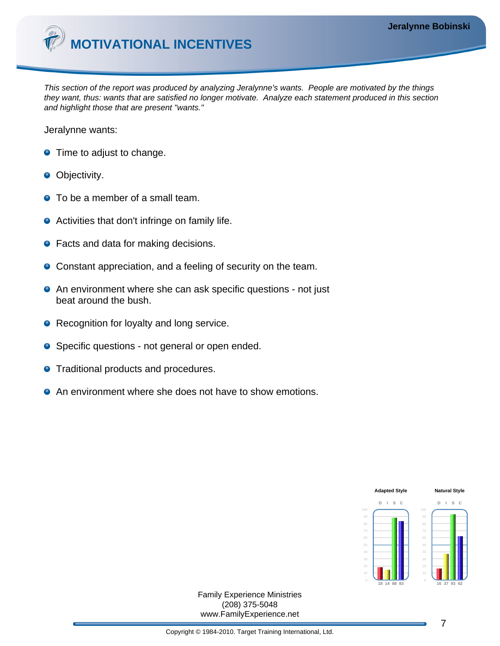

This section of the report was produced by analyzing Jeralynne's wants. People are motivated by the things they want, thus: wants that are satisfied no longer motivate. Analyze each statement produced in this section and highlight those that are present "wants."

Jeralynne wants:

- **•** Time to adjust to change.
- **Objectivity.**
- To be a member of a small team.
- Activities that don't infringe on family life.
- Facts and data for making decisions.
- Constant appreciation, and a feeling of security on the team.
- **•** An environment where she can ask specific questions not just beat around the bush.
- Recognition for loyalty and long service.
- Specific questions not general or open ended.
- **•** Traditional products and procedures.
- An environment where she does not have to show emotions.

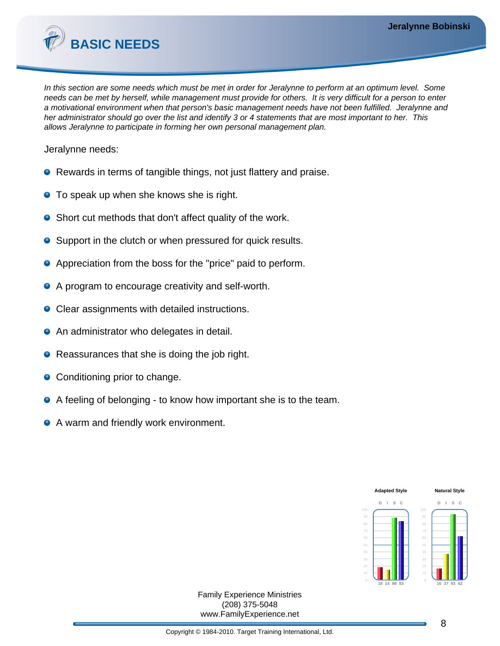

In this section are some needs which must be met in order for Jeralynne to perform at an optimum level. Some needs can be met by herself, while management must provide for others. It is very difficult for a person to enter a motivational environment when that person's basic management needs have not been fulfilled. Jeralynne and her administrator should go over the list and identify 3 or 4 statements that are most important to her. This allows Jeralynne to participate in forming her own personal management plan.

Jeralynne needs:

- Rewards in terms of tangible things, not just flattery and praise.
- **•** To speak up when she knows she is right.
- Short cut methods that don't affect quality of the work.
- Support in the clutch or when pressured for quick results.
- Appreciation from the boss for the "price" paid to perform.
- A program to encourage creativity and self-worth.
- Clear assignments with detailed instructions.
- **•** An administrator who delegates in detail.
- Reassurances that she is doing the job right.
- Conditioning prior to change.
- A feeling of belonging to know how important she is to the team.
- A warm and friendly work environment.

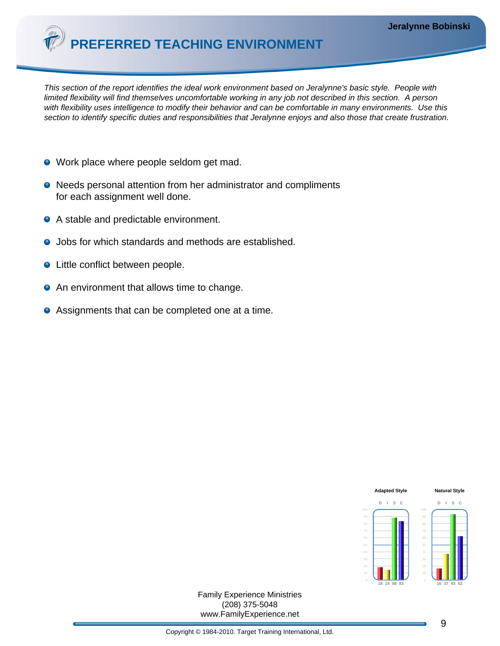**PREFERRED TEACHING ENVIRONMENT**

This section of the report identifies the ideal work environment based on Jeralynne's basic style. People with limited flexibility will find themselves uncomfortable working in any job not described in this section. A person with flexibility uses intelligence to modify their behavior and can be comfortable in many environments. Use this section to identify specific duties and responsibilities that Jeralynne enjoys and also those that create frustration.

- Work place where people seldom get mad.
- Needs personal attention from her administrator and compliments for each assignment well done.
- A stable and predictable environment.
- Jobs for which standards and methods are established.
- Little conflict between people.
- **•** An environment that allows time to change.
- Assignments that can be completed one at a time.

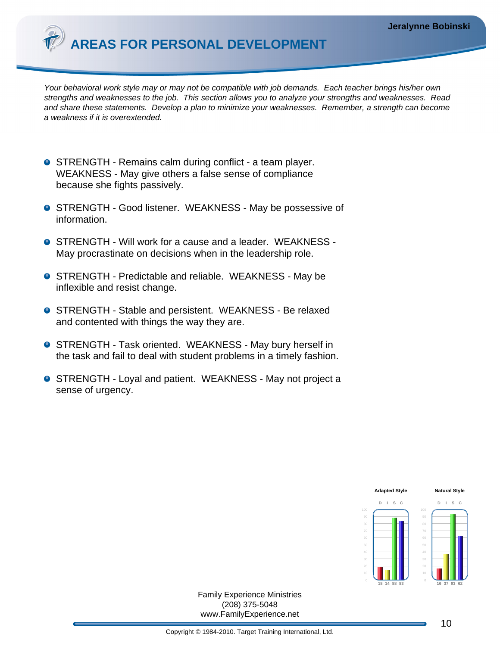

Your behavioral work style may or may not be compatible with job demands. Each teacher brings his/her own strengths and weaknesses to the job. This section allows you to analyze your strengths and weaknesses. Read and share these statements. Develop a plan to minimize your weaknesses. Remember, a strength can become a weakness if it is overextended.

- **STRENGTH Remains calm during conflict a team player.** WEAKNESS - May give others a false sense of compliance because she fights passively.
- **O** STRENGTH Good listener. WEAKNESS May be possessive of information.
- STRENGTH Will work for a cause and a leader. WEAKNESS -May procrastinate on decisions when in the leadership role.
- **STRENGTH Predictable and reliable. WEAKNESS May be** inflexible and resist change.
- **STRENGTH Stable and persistent. WEAKNESS Be relaxed** and contented with things the way they are.
- **O** STRENGTH Task oriented. WEAKNESS May bury herself in the task and fail to deal with student problems in a timely fashion.
- STRENGTH Loyal and patient. WEAKNESS May not project a sense of urgency.

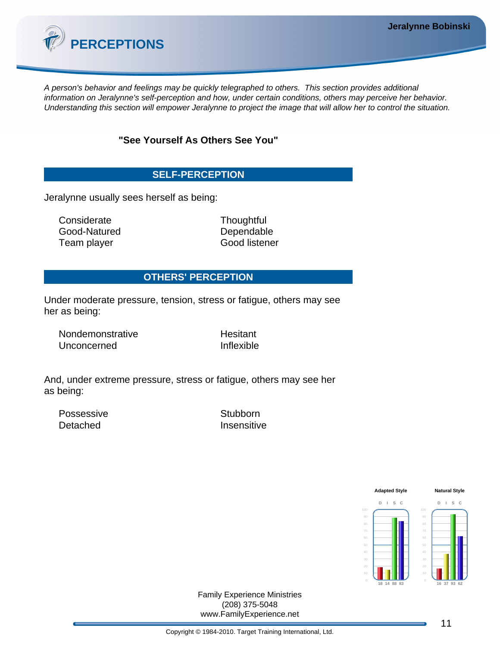

A person's behavior and feelings may be quickly telegraphed to others. This section provides additional information on Jeralynne's self-perception and how, under certain conditions, others may perceive her behavior. Understanding this section will empower Jeralynne to project the image that will allow her to control the situation.

## **"See Yourself As Others See You"**

# **SELF-PERCEPTION**

Jeralynne usually sees herself as being:

Considerate Thoughtful Good-Natured Dependable Team player Good listener

## **OTHERS' PERCEPTION**

Under moderate pressure, tension, stress or fatigue, others may see her as being:

Nondemonstrative Hesitant Unconcerned Inflexible

And, under extreme pressure, stress or fatigue, others may see her as being:

Possessive Stubborn Detached **Insensitive** 

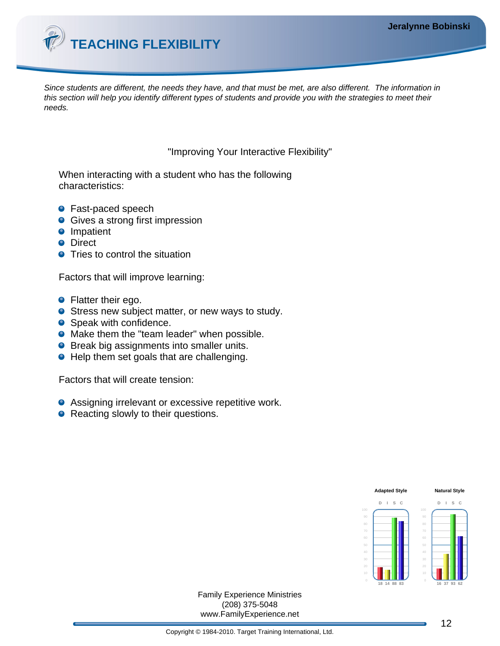

Since students are different, the needs they have, and that must be met, are also different. The information in this section will help you identify different types of students and provide you with the strategies to meet their needs.

"Improving Your Interactive Flexibility"

When interacting with a student who has the following characteristics:

- Fast-paced speech
- **Gives a strong first impression**
- **O** Impatient
- **O** Direct
- **•** Tries to control the situation

Factors that will improve learning:

- **•** Flatter their ego.
- **O** Stress new subject matter, or new ways to study.
- Speak with confidence.
- Make them the "team leader" when possible.
- **•** Break big assignments into smaller units.
- Help them set goals that are challenging.

Factors that will create tension:

- **•** Assigning irrelevant or excessive repetitive work.
- Reacting slowly to their questions.

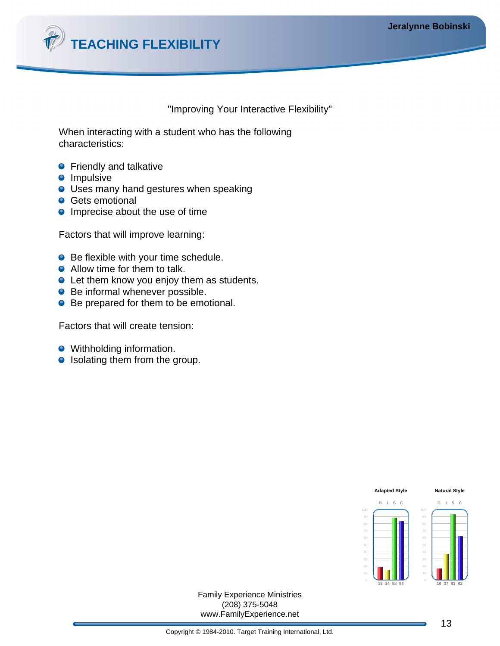

#### "Improving Your Interactive Flexibility"

When interacting with a student who has the following characteristics:

- **•** Friendly and talkative
- **O** Impulsive
- **O** Uses many hand gestures when speaking
- **Gets emotional**
- $\bullet$  Imprecise about the use of time

Factors that will improve learning:

- Be flexible with your time schedule.
- Allow time for them to talk.
- Let them know you enjoy them as students.
- Be informal whenever possible.
- Be prepared for them to be emotional.

Factors that will create tension:

- Withholding information.
- Isolating them from the group.

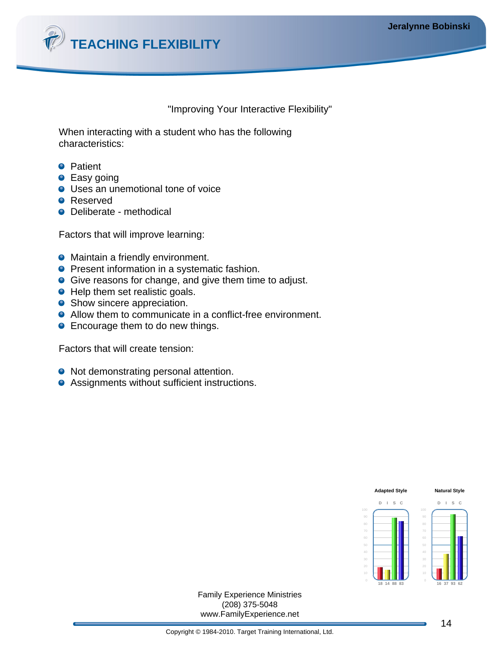

## "Improving Your Interactive Flexibility"

When interacting with a student who has the following characteristics:

- **•** Patient
- **•** Easy going
- Uses an unemotional tone of voice
- **O** Reserved
- Deliberate methodical

Factors that will improve learning:

- **•** Maintain a friendly environment.
- **Present information in a systematic fashion.**
- Give reasons for change, and give them time to adjust.
- Help them set realistic goals.
- Show sincere appreciation.
- Allow them to communicate in a conflict-free environment.
- **Encourage them to do new things.**

Factors that will create tension:

- Not demonstrating personal attention.
- **•** Assignments without sufficient instructions.

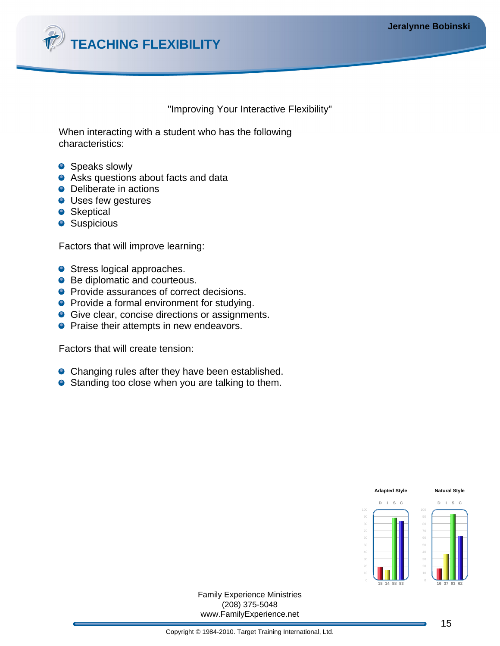

#### "Improving Your Interactive Flexibility"

When interacting with a student who has the following characteristics:

- **•** Speaks slowly
- Asks questions about facts and data
- Deliberate in actions
- **O** Uses few gestures
- **•** Skeptical
- **•** Suspicious

Factors that will improve learning:

- Stress logical approaches.
- Be diplomatic and courteous.
- **•** Provide assurances of correct decisions.
- **•** Provide a formal environment for studying.
- **Give clear, concise directions or assignments.**
- **•** Praise their attempts in new endeavors.

Factors that will create tension:

- **•** Changing rules after they have been established.
- **•** Standing too close when you are talking to them.

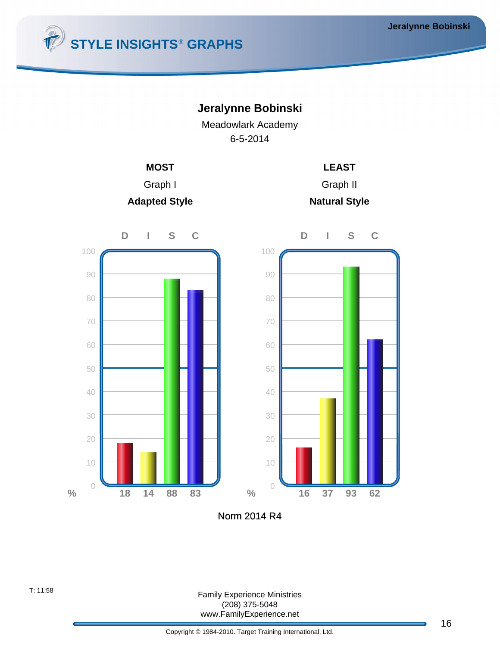











Norm 2014 R4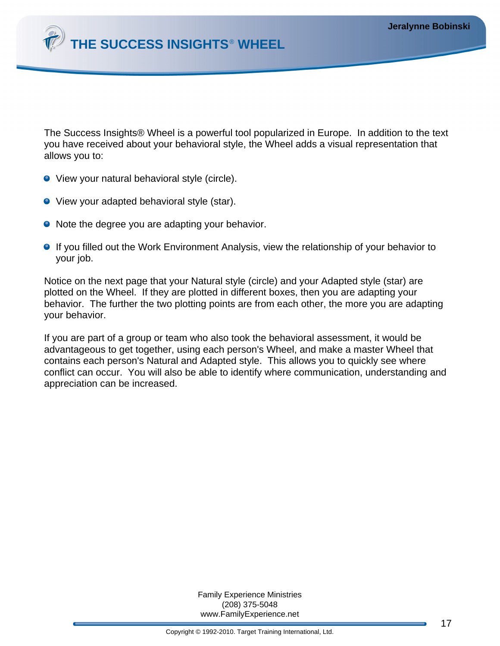

The Success Insights® Wheel is a powerful tool popularized in Europe. In addition to the text you have received about your behavioral style, the Wheel adds a visual representation that allows you to:

- View your natural behavioral style (circle).
- View your adapted behavioral style (star).
- Note the degree you are adapting your behavior.
- **If you filled out the Work Environment Analysis, view the relationship of your behavior to** your job.

Notice on the next page that your Natural style (circle) and your Adapted style (star) are plotted on the Wheel. If they are plotted in different boxes, then you are adapting your behavior. The further the two plotting points are from each other, the more you are adapting your behavior.

If you are part of a group or team who also took the behavioral assessment, it would be advantageous to get together, using each person's Wheel, and make a master Wheel that contains each person's Natural and Adapted style. This allows you to quickly see where conflict can occur. You will also be able to identify where communication, understanding and appreciation can be increased.